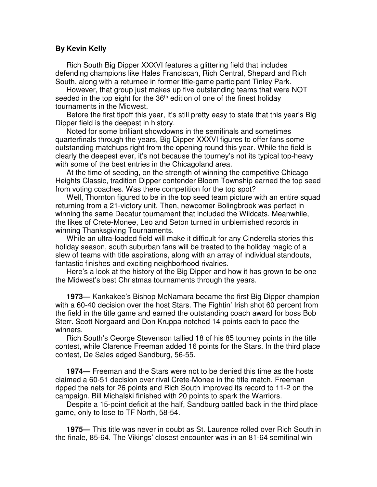## **By Kevin Kelly**

Rich South Big Dipper XXXVI features a glittering field that includes defending champions like Hales Franciscan, Rich Central, Shepard and Rich South, along with a returnee in former title-game participant Tinley Park.

However, that group just makes up five outstanding teams that were NOT seeded in the top eight for the  $36<sup>th</sup>$  edition of one of the finest holiday tournaments in the Midwest.

Before the first tipoff this year, it's still pretty easy to state that this year's Big Dipper field is the deepest in history.

Noted for some brilliant showdowns in the semifinals and sometimes quarterfinals through the years, Big Dipper XXXVI figures to offer fans some outstanding matchups right from the opening round this year. While the field is clearly the deepest ever, it's not because the tourney's not its typical top-heavy with some of the best entries in the Chicagoland area.

At the time of seeding, on the strength of winning the competitive Chicago Heights Classic, tradition Dipper contender Bloom Township earned the top seed from voting coaches. Was there competition for the top spot?

Well, Thornton figured to be in the top seed team picture with an entire squad returning from a 21-victory unit. Then, newcomer Bolingbrook was perfect in winning the same Decatur tournament that included the Wildcats. Meanwhile, the likes of Crete-Monee, Leo and Seton turned in unblemished records in winning Thanksgiving Tournaments.

While an ultra-loaded field will make it difficult for any Cinderella stories this holiday season, south suburban fans will be treated to the holiday magic of a slew of teams with title aspirations, along with an array of individual standouts, fantastic finishes and exciting neighborhood rivalries.

Here's a look at the history of the Big Dipper and how it has grown to be one the Midwest's best Christmas tournaments through the years.

**1973—** Kankakee's Bishop McNamara became the first Big Dipper champion with a 60-40 decision over the host Stars. The Fightin' Irish shot 60 percent from the field in the title game and earned the outstanding coach award for boss Bob Sterr. Scott Norgaard and Don Kruppa notched 14 points each to pace the winners.

Rich South's George Stevenson tallied 18 of his 85 tourney points in the title contest, while Clarence Freeman added 16 points for the Stars. In the third place contest, De Sales edged Sandburg, 56-55.

**1974—** Freeman and the Stars were not to be denied this time as the hosts claimed a 60-51 decision over rival Crete-Monee in the title match. Freeman ripped the nets for 26 points and Rich South improved its record to 11-2 on the campaign. Bill Michalski finished with 20 points to spark the Warriors.

Despite a 15-point deficit at the half, Sandburg battled back in the third place game, only to lose to TF North, 58-54.

**1975—** This title was never in doubt as St. Laurence rolled over Rich South in the finale, 85-64. The Vikings' closest encounter was in an 81-64 semifinal win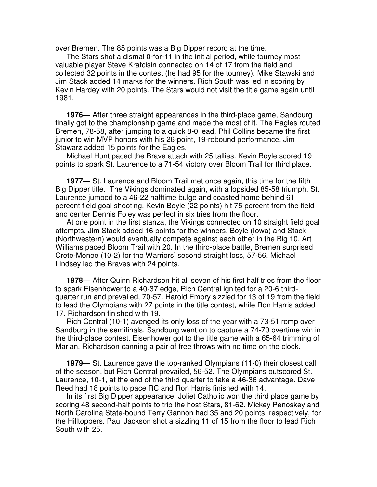over Bremen. The 85 points was a Big Dipper record at the time.

The Stars shot a dismal 0-for-11 in the initial period, while tourney most valuable player Steve Krafcisin connected on 14 of 17 from the field and collected 32 points in the contest (he had 95 for the tourney). Mike Stawski and Jim Stack added 14 marks for the winners. Rich South was led in scoring by Kevin Hardey with 20 points. The Stars would not visit the title game again until 1981.

**1976—** After three straight appearances in the third-place game, Sandburg finally got to the championship game and made the most of it. The Eagles routed Bremen, 78-58, after jumping to a quick 8-0 lead. Phil Collins became the first junior to win MVP honors with his 26-point, 19-rebound performance. Jim Stawarz added 15 points for the Eagles.

Michael Hunt paced the Brave attack with 25 tallies. Kevin Boyle scored 19 points to spark St. Laurence to a 71-54 victory over Bloom Trail for third place.

**1977—** St. Laurence and Bloom Trail met once again, this time for the fifth Big Dipper title. The Vikings dominated again, with a lopsided 85-58 triumph. St. Laurence jumped to a 46-22 halftime bulge and coasted home behind 61 percent field goal shooting. Kevin Boyle (22 points) hit 75 percent from the field and center Dennis Foley was perfect in six tries from the floor.

At one point in the first stanza, the Vikings connected on 10 straight field goal attempts. Jim Stack added 16 points for the winners. Boyle (Iowa) and Stack (Northwestern) would eventually compete against each other in the Big 10. Art Williams paced Bloom Trail with 20. In the third-place battle, Bremen surprised Crete-Monee (10-2) for the Warriors' second straight loss, 57-56. Michael Lindsey led the Braves with 24 points.

**1978—** After Quinn Richardson hit all seven of his first half tries from the floor to spark Eisenhower to a 40-37 edge, Rich Central ignited for a 20-6 thirdquarter run and prevailed, 70-57. Harold Embry sizzled for 13 of 19 from the field to lead the Olympians with 27 points in the title contest, while Ron Harris added 17. Richardson finished with 19.

Rich Central (10-1) avenged its only loss of the year with a 73-51 romp over Sandburg in the semifinals. Sandburg went on to capture a 74-70 overtime win in the third-place contest. Eisenhower got to the title game with a 65-64 trimming of Marian, Richardson canning a pair of free throws with no time on the clock.

**1979—** St. Laurence gave the top-ranked Olympians (11-0) their closest call of the season, but Rich Central prevailed, 56-52. The Olympians outscored St. Laurence, 10-1, at the end of the third quarter to take a 46-36 advantage. Dave Reed had 18 points to pace RC and Ron Harris finished with 14.

In its first Big Dipper appearance, Joliet Catholic won the third place game by scoring 48 second-half points to trip the host Stars, 81-62. Mickey Penoskey and North Carolina State-bound Terry Gannon had 35 and 20 points, respectively, for the Hilltoppers. Paul Jackson shot a sizzling 11 of 15 from the floor to lead Rich South with 25.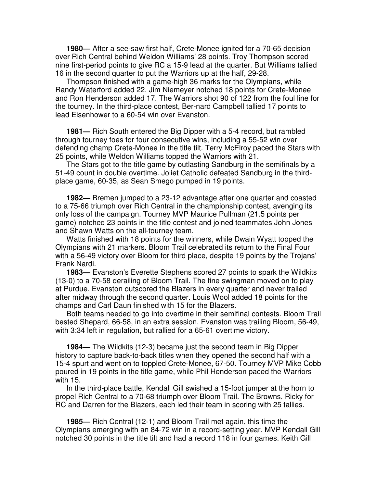**1980—** After a see-saw first half, Crete-Monee ignited for a 70-65 decision over Rich Central behind Weldon Williams' 28 points. Troy Thompson scored nine first-period points to give RC a 15-9 lead at the quarter. But Williams tallied 16 in the second quarter to put the Warriors up at the half, 29-28.

Thompson finished with a game-high 36 marks for the Olympians, while Randy Waterford added 22. Jim Niemeyer notched 18 points for Crete-Monee and Ron Henderson added 17. The Warriors shot 90 of 122 from the foul line for the tourney. In the third-place contest, Ber-nard Campbell tallied 17 points to lead Eisenhower to a 60-54 win over Evanston.

**1981—** Rich South entered the Big Dipper with a 5-4 record, but rambled through tourney foes for four consecutive wins, including a 55-52 win over defending champ Crete-Monee in the title tilt. Terry McElroy paced the Stars with 25 points, while Weldon Williams topped the Warriors with 21.

The Stars got to the title game by outlasting Sandburg in the semifinals by a 51-49 count in double overtime. Joliet Catholic defeated Sandburg in the thirdplace game, 60-35, as Sean Smego pumped in 19 points.

**1982—** Bremen jumped to a 23-12 advantage after one quarter and coasted to a 75-66 triumph over Rich Central in the championship contest, avenging its only loss of the campaign. Tourney MVP Maurice Pullman (21.5 points per game) notched 23 points in the title contest and joined teammates John Jones and Shawn Watts on the all-tourney team.

Watts finished with 18 points for the winners, while Dwain Wyatt topped the Olympians with 21 markers. Bloom Trail celebrated its return to the Final Four with a 56-49 victory over Bloom for third place, despite 19 points by the Trojans' Frank Nardi.

**1983—** Evanston's Everette Stephens scored 27 points to spark the Wildkits (13-0) to a 70-58 derailing of Bloom Trail. The fine swingman moved on to play at Purdue. Evanston outscored the Blazers in every quarter and never trailed after midway through the second quarter. Louis Wool added 18 points for the champs and Carl Daun finished with 15 for the Blazers.

Both teams needed to go into overtime in their semifinal contests. Bloom Trail bested Shepard, 66-58, in an extra session. Evanston was trailing Bloom, 56-49, with 3:34 left in regulation, but rallied for a 65-61 overtime victory.

**1984—** The Wildkits (12-3) became just the second team in Big Dipper history to capture back-to-back titles when they opened the second half with a 15-4 spurt and went on to toppled Crete-Monee, 67-50. Tourney MVP Mike Cobb poured in 19 points in the title game, while Phil Henderson paced the Warriors with 15.

In the third-place battle, Kendall Gill swished a 15-foot jumper at the horn to propel Rich Central to a 70-68 triumph over Bloom Trail. The Browns, Ricky for RC and Darren for the Blazers, each led their team in scoring with 25 tallies.

**1985—** Rich Central (12-1) and Bloom Trail met again, this time the Olympians emerging with an 84-72 win in a record-setting year. MVP Kendall Gill notched 30 points in the title tilt and had a record 118 in four games. Keith Gill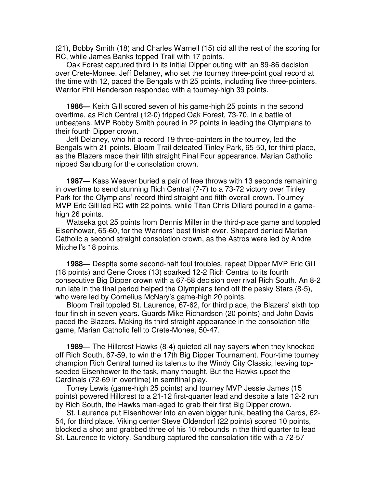(21), Bobby Smith (18) and Charles Warnell (15) did all the rest of the scoring for RC, while James Banks topped Trail with 17 points.

Oak Forest captured third in its initial Dipper outing with an 89-86 decision over Crete-Monee. Jeff Delaney, who set the tourney three-point goal record at the time with 12, paced the Bengals with 25 points, including five three-pointers. Warrior Phil Henderson responded with a tourney-high 39 points.

**1986—** Keith Gill scored seven of his game-high 25 points in the second overtime, as Rich Central (12-0) tripped Oak Forest, 73-70, in a battle of unbeatens. MVP Bobby Smith poured in 22 points in leading the Olympians to their fourth Dipper crown.

Jeff Delaney, who hit a record 19 three-pointers in the tourney, led the Bengals with 21 points. Bloom Trail defeated Tinley Park, 65-50, for third place, as the Blazers made their fifth straight Final Four appearance. Marian Catholic nipped Sandburg for the consolation crown.

**1987—** Kass Weaver buried a pair of free throws with 13 seconds remaining in overtime to send stunning Rich Central (7-7) to a 73-72 victory over Tinley Park for the Olympians' record third straight and fifth overall crown. Tourney MVP Eric Gill led RC with 22 points, while Titan Chris Dillard poured in a gamehigh 26 points.

Watseka got 25 points from Dennis Miller in the third-place game and toppled Eisenhower, 65-60, for the Warriors' best finish ever. Shepard denied Marian Catholic a second straight consolation crown, as the Astros were led by Andre Mitchell's 18 points.

**1988—** Despite some second-half foul troubles, repeat Dipper MVP Eric Gill (18 points) and Gene Cross (13) sparked 12-2 Rich Central to its fourth consecutive Big Dipper crown with a 67-58 decision over rival Rich South. An 8-2 run late in the final period helped the Olympians fend off the pesky Stars (8-5), who were led by Cornelius McNary's game-high 20 points.

Bloom Trail toppled St. Laurence, 67-62, for third place, the Blazers' sixth top four finish in seven years. Guards Mike Richardson (20 points) and John Davis paced the Blazers. Making its third straight appearance in the consolation title game, Marian Catholic fell to Crete-Monee, 50-47.

**1989—** The Hillcrest Hawks (8-4) quieted all nay-sayers when they knocked off Rich South, 67-59, to win the 17th Big Dipper Tournament. Four-time tourney champion Rich Central turned its talents to the Windy City Classic, leaving topseeded Eisenhower to the task, many thought. But the Hawks upset the Cardinals (72-69 in overtime) in semifinal play.

Torrey Lewis (game-high 25 points) and tourney MVP Jessie James (15 points) powered Hillcrest to a 21-12 first-quarter lead and despite a late 12-2 run by Rich South, the Hawks man-aged to grab their first Big Dipper crown.

St. Laurence put Eisenhower into an even bigger funk, beating the Cards, 62- 54, for third place. Viking center Steve Oldendorf (22 points) scored 10 points, blocked a shot and grabbed three of his 10 rebounds in the third quarter to lead St. Laurence to victory. Sandburg captured the consolation title with a 72-57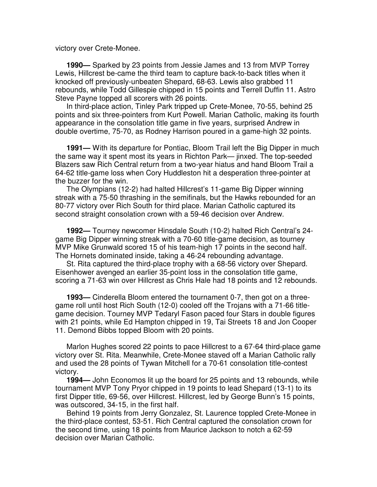victory over Crete-Monee.

**1990—** Sparked by 23 points from Jessie James and 13 from MVP Torrey Lewis, Hillcrest be-came the third team to capture back-to-back titles when it knocked off previously-unbeaten Shepard, 68-63. Lewis also grabbed 11 rebounds, while Todd Gillespie chipped in 15 points and Terrell Duffin 11. Astro Steve Payne topped all scorers with 26 points.

In third-place action, Tinley Park tripped up Crete-Monee, 70-55, behind 25 points and six three-pointers from Kurt Powell. Marian Catholic, making its fourth appearance in the consolation title game in five years, surprised Andrew in double overtime, 75-70, as Rodney Harrison poured in a game-high 32 points.

**1991—** With its departure for Pontiac, Bloom Trail left the Big Dipper in much the same way it spent most its years in Richton Park— jinxed. The top-seeded Blazers saw Rich Central return from a two-year hiatus and hand Bloom Trail a 64-62 title-game loss when Cory Huddleston hit a desperation three-pointer at the buzzer for the win.

The Olympians (12-2) had halted Hillcrest's 11-game Big Dipper winning streak with a 75-50 thrashing in the semifinals, but the Hawks rebounded for an 80-77 victory over Rich South for third place. Marian Catholic captured its second straight consolation crown with a 59-46 decision over Andrew.

**1992—** Tourney newcomer Hinsdale South (10-2) halted Rich Central's 24 game Big Dipper winning streak with a 70-60 title-game decision, as tourney MVP Mike Grunwald scored 15 of his team-high 17 points in the second half. The Hornets dominated inside, taking a 46-24 rebounding advantage.

St. Rita captured the third-place trophy with a 68-56 victory over Shepard. Eisenhower avenged an earlier 35-point loss in the consolation title game, scoring a 71-63 win over Hillcrest as Chris Hale had 18 points and 12 rebounds.

**1993—** Cinderella Bloom entered the tournament 0-7, then got on a threegame roll until host Rich South (12-0) cooled off the Trojans with a 71-66 titlegame decision. Tourney MVP Tedaryl Fason paced four Stars in double figures with 21 points, while Ed Hampton chipped in 19, Tai Streets 18 and Jon Cooper 11. Demond Bibbs topped Bloom with 20 points.

Marlon Hughes scored 22 points to pace Hillcrest to a 67-64 third-place game victory over St. Rita. Meanwhile, Crete-Monee staved off a Marian Catholic rally and used the 28 points of Tywan Mitchell for a 70-61 consolation title-contest victory.

**1994—** John Economos lit up the board for 25 points and 13 rebounds, while tournament MVP Tony Pryor chipped in 19 points to lead Shepard (13-1) to its first Dipper title, 69-56, over Hillcrest. Hillcrest, led by George Bunn's 15 points, was outscored, 34-15, in the first half.

Behind 19 points from Jerry Gonzalez, St. Laurence toppled Crete-Monee in the third-place contest, 53-51. Rich Central captured the consolation crown for the second time, using 18 points from Maurice Jackson to notch a 62-59 decision over Marian Catholic.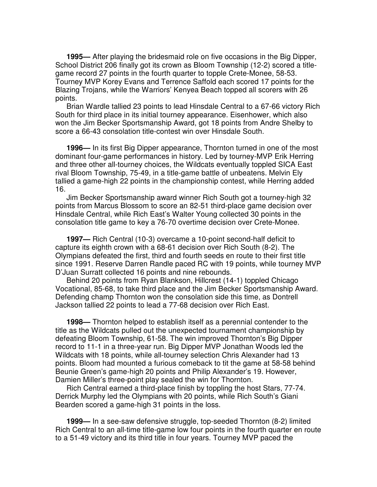**1995—** After playing the bridesmaid role on five occasions in the Big Dipper, School District 206 finally got its crown as Bloom Township (12-2) scored a titlegame record 27 points in the fourth quarter to topple Crete-Monee, 58-53. Tourney MVP Korey Evans and Terrence Saffold each scored 17 points for the Blazing Trojans, while the Warriors' Kenyea Beach topped all scorers with 26 points.

Brian Wardle tallied 23 points to lead Hinsdale Central to a 67-66 victory Rich South for third place in its initial tourney appearance. Eisenhower, which also won the Jim Becker Sportsmanship Award, got 18 points from Andre Shelby to score a 66-43 consolation title-contest win over Hinsdale South.

**1996—** In its first Big Dipper appearance, Thornton turned in one of the most dominant four-game performances in history. Led by tourney-MVP Erik Herring and three other all-tourney choices, the Wildcats eventually toppled SICA East rival Bloom Township, 75-49, in a title-game battle of unbeatens. Melvin Ely tallied a game-high 22 points in the championship contest, while Herring added 16.

Jim Becker Sportsmanship award winner Rich South got a tourney-high 32 points from Marcus Blossom to score an 82-51 third-place game decision over Hinsdale Central, while Rich East's Walter Young collected 30 points in the consolation title game to key a 76-70 overtime decision over Crete-Monee.

**1997—** Rich Central (10-3) overcame a 10-point second-half deficit to capture its eighth crown with a 68-61 decision over Rich South (8-2). The Olympians defeated the first, third and fourth seeds en route to their first title since 1991. Reserve Darren Randle paced RC with 19 points, while tourney MVP D'Juan Surratt collected 16 points and nine rebounds.

Behind 20 points from Ryan Blankson, Hillcrest (14-1) toppled Chicago Vocational, 85-68, to take third place and the Jim Becker Sportsmanship Award. Defending champ Thornton won the consolation side this time, as Dontrell Jackson tallied 22 points to lead a 77-68 decision over Rich East.

**1998—** Thornton helped to establish itself as a perennial contender to the title as the Wildcats pulled out the unexpected tournament championship by defeating Bloom Township, 61-58. The win improved Thornton's Big Dipper record to 11-1 in a three-year run. Big Dipper MVP Jonathan Woods led the Wildcats with 18 points, while all-tourney selection Chris Alexander had 13 points. Bloom had mounted a furious comeback to tit the game at 58-58 behind Beunie Green's game-high 20 points and Philip Alexander's 19. However, Damien Miller's three-point play sealed the win for Thornton.

Rich Central earned a third-place finish by toppling the host Stars, 77-74. Derrick Murphy led the Olympians with 20 points, while Rich South's Giani Bearden scored a game-high 31 points in the loss.

**1999—** In a see-saw defensive struggle, top-seeded Thornton (8-2) limited Rich Central to an all-time title-game low four points in the fourth quarter en route to a 51-49 victory and its third title in four years. Tourney MVP paced the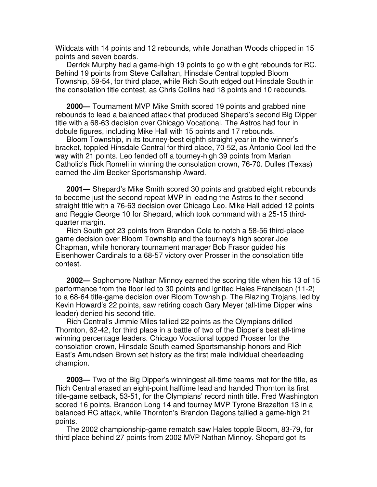Wildcats with 14 points and 12 rebounds, while Jonathan Woods chipped in 15 points and seven boards.

Derrick Murphy had a game-high 19 points to go with eight rebounds for RC. Behind 19 points from Steve Callahan, Hinsdale Central toppled Bloom Township, 59-54, for third place, while Rich South edged out Hinsdale South in the consolation title contest, as Chris Collins had 18 points and 10 rebounds.

**2000—** Tournament MVP Mike Smith scored 19 points and grabbed nine rebounds to lead a balanced attack that produced Shepard's second Big Dipper title with a 68-63 decision over Chicago Vocational. The Astros had four in dobule figures, including Mike Hall with 15 points and 17 rebounds.

Bloom Township, in its tourney-best eighth straight year in the winner's bracket, toppled Hinsdale Central for third place, 70-52, as Antonio Cool led the way with 21 points. Leo fended off a tourney-high 39 points from Marian Catholic's Rick Romeli in winning the consolation crown, 76-70. Dulles (Texas) earned the Jim Becker Sportsmanship Award.

**2001—** Shepard's Mike Smith scored 30 points and grabbed eight rebounds to become just the second repeat MVP in leading the Astros to their second straight title with a 76-63 decision over Chicago Leo. Mike Hall added 12 points and Reggie George 10 for Shepard, which took command with a 25-15 thirdquarter margin.

Rich South got 23 points from Brandon Cole to notch a 58-56 third-place game decision over Bloom Township and the tourney's high scorer Joe Chapman, while honorary tournament manager Bob Frasor guided his Eisenhower Cardinals to a 68-57 victory over Prosser in the consolation title contest.

**2002—** Sophomore Nathan Minnoy earned the scoring title when his 13 of 15 performance from the floor led to 30 points and ignited Hales Franciscan (11-2) to a 68-64 title-game decision over Bloom Township. The Blazing Trojans, led by Kevin Howard's 22 points, saw retiring coach Gary Meyer (all-time Dipper wins leader) denied his second title.

Rich Central's Jimmie Miles tallied 22 points as the Olympians drilled Thornton, 62-42, for third place in a battle of two of the Dipper's best all-time winning percentage leaders. Chicago Vocational topped Prosser for the consolation crown, Hinsdale South earned Sportsmanship honors and Rich East's Amundsen Brown set history as the first male individual cheerleading champion.

**2003—** Two of the Big Dipper's winningest all-time teams met for the title, as Rich Central erased an eight-point halftime lead and handed Thornton its first title-game setback, 53-51, for the Olympians' record ninth title. Fred Washington scored 16 points, Brandon Long 14 and tourney MVP Tyrone Brazelton 13 in a balanced RC attack, while Thornton's Brandon Dagons tallied a game-high 21 points.

The 2002 championship-game rematch saw Hales topple Bloom, 83-79, for third place behind 27 points from 2002 MVP Nathan Minnoy. Shepard got its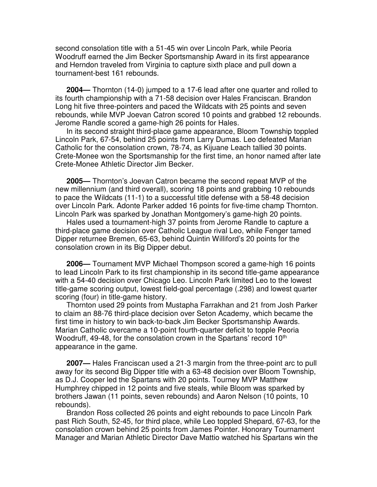second consolation title with a 51-45 win over Lincoln Park, while Peoria Woodruff earned the Jim Becker Sportsmanship Award in its first appearance and Herndon traveled from Virginia to capture sixth place and pull down a tournament-best 161 rebounds.

**2004—** Thornton (14-0) jumped to a 17-6 lead after one quarter and rolled to its fourth championship with a 71-58 decision over Hales Franciscan. Brandon Long hit five three-pointers and paced the Wildcats with 25 points and seven rebounds, while MVP Joevan Catron scored 10 points and grabbed 12 rebounds. Jerome Randle scored a game-high 26 points for Hales.

In its second straight third-place game appearance, Bloom Township toppled Lincoln Park, 67-54, behind 25 points from Larry Dumas. Leo defeated Marian Catholic for the consolation crown, 78-74, as Kijuane Leach tallied 30 points. Crete-Monee won the Sportsmanship for the first time, an honor named after late Crete-Monee Athletic Director Jim Becker.

**2005—** Thornton's Joevan Catron became the second repeat MVP of the new millennium (and third overall), scoring 18 points and grabbing 10 rebounds to pace the Wildcats (11-1) to a successful title defense with a 58-48 decision over Lincoln Park. Adonte Parker added 16 points for five-time champ Thornton. Lincoln Park was sparked by Jonathan Montgomery's game-high 20 points.

Hales used a tournament-high 37 points from Jerome Randle to capture a third-place game decision over Catholic League rival Leo, while Fenger tamed Dipper returnee Bremen, 65-63, behind Quintin Williford's 20 points for the consolation crown in its Big Dipper debut.

**2006—** Tournament MVP Michael Thompson scored a game-high 16 points to lead Lincoln Park to its first championship in its second title-game appearance with a 54-40 decision over Chicago Leo. Lincoln Park limited Leo to the lowest title-game scoring output, lowest field-goal percentage (.298) and lowest quarter scoring (four) in title-game history.

Thornton used 29 points from Mustapha Farrakhan and 21 from Josh Parker to claim an 88-76 third-place decision over Seton Academy, which became the first time in history to win back-to-back Jim Becker Sportsmanship Awards. Marian Catholic overcame a 10-point fourth-quarter deficit to topple Peoria Woodruff, 49-48, for the consolation crown in the Spartans' record 10<sup>th</sup> appearance in the game.

**2007—** Hales Franciscan used a 21-3 margin from the three-point arc to pull away for its second Big Dipper title with a 63-48 decision over Bloom Township, as D.J. Cooper led the Spartans with 20 points. Tourney MVP Matthew Humphrey chipped in 12 points and five steals, while Bloom was sparked by brothers Jawan (11 points, seven rebounds) and Aaron Nelson (10 points, 10 rebounds).

Brandon Ross collected 26 points and eight rebounds to pace Lincoln Park past Rich South, 52-45, for third place, while Leo toppled Shepard, 67-63, for the consolation crown behind 25 points from James Pointer. Honorary Tournament Manager and Marian Athletic Director Dave Mattio watched his Spartans win the